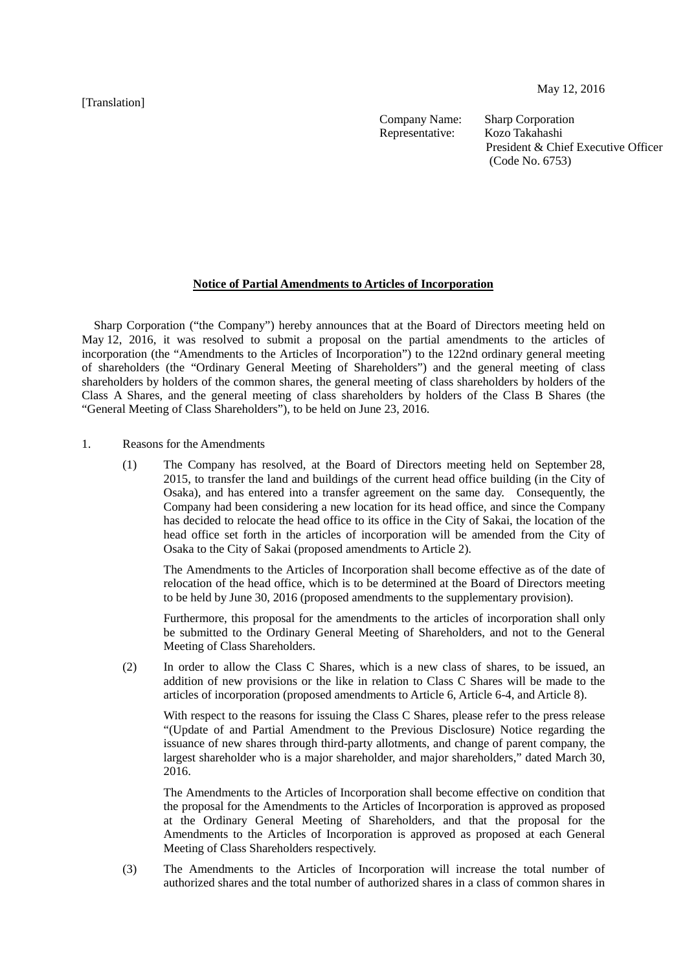[Translation]

Company Name: Sharp Corporation Representative: Kozo Takahashi

President & Chief Executive Officer (Code No. 6753)

## **Notice of Partial Amendments to Articles of Incorporation**

Sharp Corporation ("the Company") hereby announces that at the Board of Directors meeting held on May 12, 2016, it was resolved to submit a proposal on the partial amendments to the articles of incorporation (the "Amendments to the Articles of Incorporation") to the 122nd ordinary general meeting of shareholders (the "Ordinary General Meeting of Shareholders") and the general meeting of class shareholders by holders of the common shares, the general meeting of class shareholders by holders of the Class A Shares, and the general meeting of class shareholders by holders of the Class B Shares (the "General Meeting of Class Shareholders"), to be held on June 23, 2016.

- 1. Reasons for the Amendments
	- (1) The Company has resolved, at the Board of Directors meeting held on September 28, 2015, to transfer the land and buildings of the current head office building (in the City of Osaka), and has entered into a transfer agreement on the same day. Consequently, the Company had been considering a new location for its head office, and since the Company has decided to relocate the head office to its office in the City of Sakai, the location of the head office set forth in the articles of incorporation will be amended from the City of Osaka to the City of Sakai (proposed amendments to Article 2).

The Amendments to the Articles of Incorporation shall become effective as of the date of relocation of the head office, which is to be determined at the Board of Directors meeting to be held by June 30, 2016 (proposed amendments to the supplementary provision).

Furthermore, this proposal for the amendments to the articles of incorporation shall only be submitted to the Ordinary General Meeting of Shareholders, and not to the General Meeting of Class Shareholders.

(2) In order to allow the Class C Shares, which is a new class of shares, to be issued, an addition of new provisions or the like in relation to Class C Shares will be made to the articles of incorporation (proposed amendments to Article 6, Article 6-4, and Article 8).

With respect to the reasons for issuing the Class C Shares, please refer to the press release "(Update of and Partial Amendment to the Previous Disclosure) Notice regarding the issuance of new shares through third-party allotments, and change of parent company, the largest shareholder who is a major shareholder, and major shareholders," dated March 30, 2016.

The Amendments to the Articles of Incorporation shall become effective on condition that the proposal for the Amendments to the Articles of Incorporation is approved as proposed at the Ordinary General Meeting of Shareholders, and that the proposal for the Amendments to the Articles of Incorporation is approved as proposed at each General Meeting of Class Shareholders respectively.

(3) The Amendments to the Articles of Incorporation will increase the total number of authorized shares and the total number of authorized shares in a class of common shares in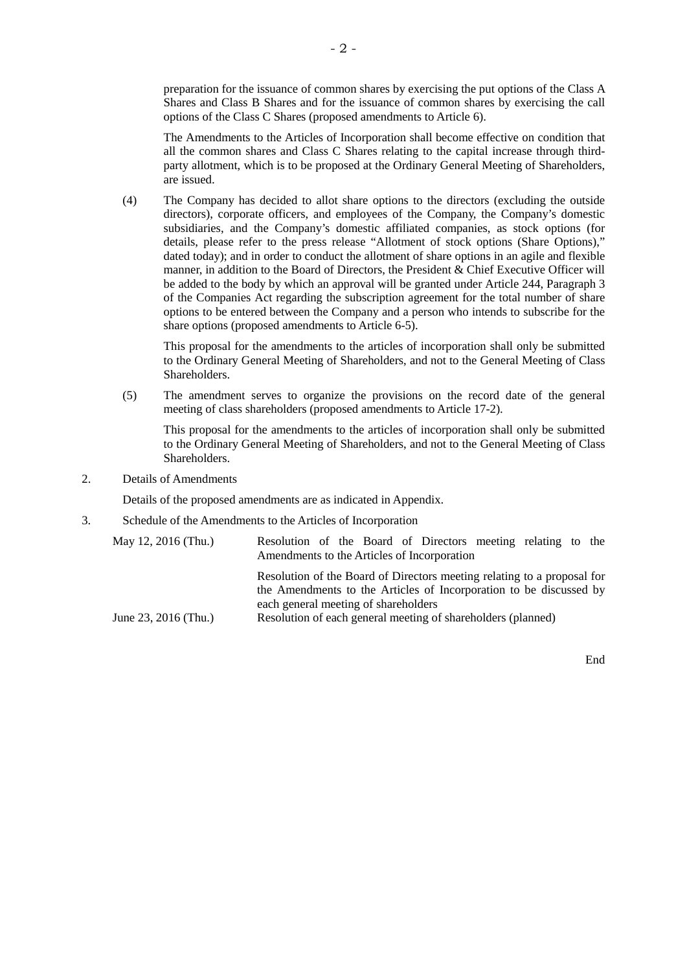preparation for the issuance of common shares by exercising the put options of the Class A Shares and Class B Shares and for the issuance of common shares by exercising the call options of the Class C Shares (proposed amendments to Article 6).

The Amendments to the Articles of Incorporation shall become effective on condition that all the common shares and Class C Shares relating to the capital increase through thirdparty allotment, which is to be proposed at the Ordinary General Meeting of Shareholders, are issued.

(4) The Company has decided to allot share options to the directors (excluding the outside directors), corporate officers, and employees of the Company, the Company's domestic subsidiaries, and the Company's domestic affiliated companies, as stock options (for details, please refer to the press release "Allotment of stock options (Share Options)," dated today); and in order to conduct the allotment of share options in an agile and flexible manner, in addition to the Board of Directors, the President & Chief Executive Officer will be added to the body by which an approval will be granted under Article 244, Paragraph 3 of the Companies Act regarding the subscription agreement for the total number of share options to be entered between the Company and a person who intends to subscribe for the share options (proposed amendments to Article 6-5).

This proposal for the amendments to the articles of incorporation shall only be submitted to the Ordinary General Meeting of Shareholders, and not to the General Meeting of Class Shareholders.

(5) The amendment serves to organize the provisions on the record date of the general meeting of class shareholders (proposed amendments to Article 17-2).

This proposal for the amendments to the articles of incorporation shall only be submitted to the Ordinary General Meeting of Shareholders, and not to the General Meeting of Class Shareholders.

2. Details of Amendments

Details of the proposed amendments are as indicated in Appendix.

3. Schedule of the Amendments to the Articles of Incorporation

| May 12, 2016 (Thu.)  | Resolution of the Board of Directors meeting relating to the<br>Amendments to the Articles of Incorporation                                                                                                                                           |
|----------------------|-------------------------------------------------------------------------------------------------------------------------------------------------------------------------------------------------------------------------------------------------------|
| June 23, 2016 (Thu.) | Resolution of the Board of Directors meeting relating to a proposal for<br>the Amendments to the Articles of Incorporation to be discussed by<br>each general meeting of shareholders<br>Resolution of each general meeting of shareholders (planned) |

End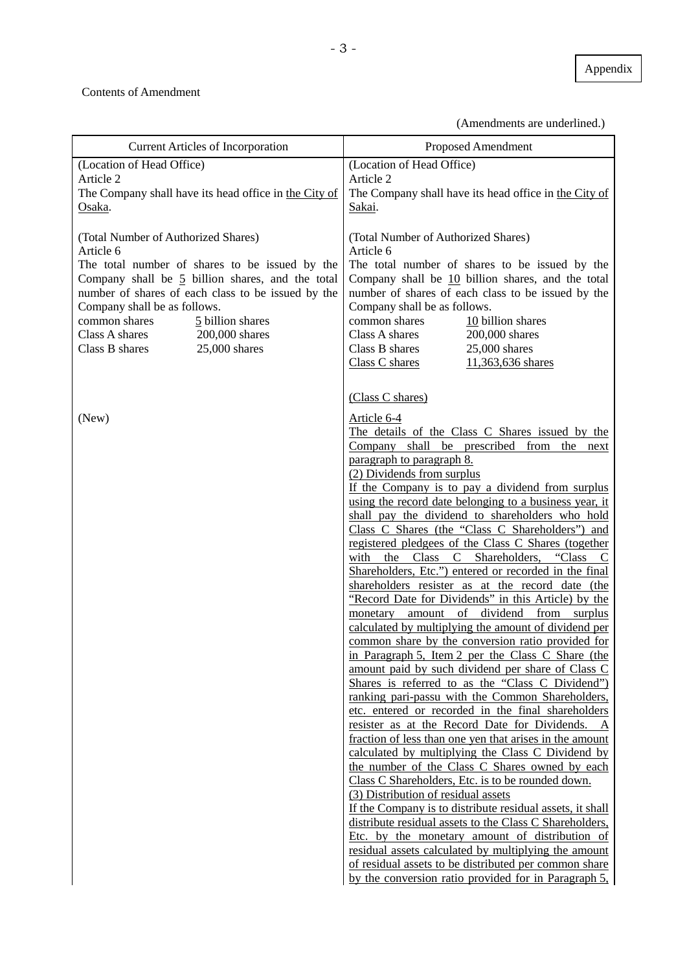## Contents of Amendment

(Amendments are underlined.)

| <b>Current Articles of Incorporation</b>                                                                                                                                                                                                                                                                                                                 | Proposed Amendment                                                                                                                                                                                                                                                                                                                                                                                                                                                                                                                                                                                                                                                                                                                                                                                                                                                                                                                                                                                                                                                                                                                                                                                                                                                                                                                                                                                                                             |  |  |
|----------------------------------------------------------------------------------------------------------------------------------------------------------------------------------------------------------------------------------------------------------------------------------------------------------------------------------------------------------|------------------------------------------------------------------------------------------------------------------------------------------------------------------------------------------------------------------------------------------------------------------------------------------------------------------------------------------------------------------------------------------------------------------------------------------------------------------------------------------------------------------------------------------------------------------------------------------------------------------------------------------------------------------------------------------------------------------------------------------------------------------------------------------------------------------------------------------------------------------------------------------------------------------------------------------------------------------------------------------------------------------------------------------------------------------------------------------------------------------------------------------------------------------------------------------------------------------------------------------------------------------------------------------------------------------------------------------------------------------------------------------------------------------------------------------------|--|--|
| (Location of Head Office)<br>Article 2<br>The Company shall have its head office in the City of<br>Osaka.                                                                                                                                                                                                                                                | (Location of Head Office)<br>Article 2<br>The Company shall have its head office in the City of<br>Sakai.                                                                                                                                                                                                                                                                                                                                                                                                                                                                                                                                                                                                                                                                                                                                                                                                                                                                                                                                                                                                                                                                                                                                                                                                                                                                                                                                      |  |  |
| (Total Number of Authorized Shares)<br>Article 6<br>The total number of shares to be issued by the<br>Company shall be 5 billion shares, and the total<br>number of shares of each class to be issued by the<br>Company shall be as follows.<br>common shares<br>5 billion shares<br>Class A shares<br>200,000 shares<br>25,000 shares<br>Class B shares | (Total Number of Authorized Shares)<br>Article 6<br>The total number of shares to be issued by the<br>Company shall be 10 billion shares, and the total<br>number of shares of each class to be issued by the<br>Company shall be as follows.<br>common shares<br>10 billion shares<br>Class A shares<br>200,000 shares<br>Class B shares<br>25,000 shares<br>Class C shares<br>11,363,636 shares                                                                                                                                                                                                                                                                                                                                                                                                                                                                                                                                                                                                                                                                                                                                                                                                                                                                                                                                                                                                                                              |  |  |
| (New)                                                                                                                                                                                                                                                                                                                                                    | (Class C shares)<br>Article 6-4<br>The details of the Class C Shares issued by the<br>Company shall be prescribed from the next<br>paragraph to paragraph 8.<br>(2) Dividends from surplus<br>If the Company is to pay a dividend from surplus<br>using the record date belonging to a business year, it<br>shall pay the dividend to shareholders who hold<br>Class C Shares (the "Class C Shareholders") and<br>registered pledgees of the Class C Shares (together<br>the Class C Shareholders, "Class<br>with<br>Shareholders, Etc.") entered or recorded in the final<br>shareholders resister as at the record date (the<br>"Record Date for Dividends" in this Article) by the<br>of dividend<br>amount<br>from surplus<br>monetary<br>calculated by multiplying the amount of dividend per<br>common share by the conversion ratio provided for<br>in Paragraph 5, Item 2 per the Class C Share (the<br>amount paid by such dividend per share of Class C<br>Shares is referred to as the "Class C Dividend")<br>ranking pari-passu with the Common Shareholders,<br>etc. entered or recorded in the final shareholders<br>resister as at the Record Date for Dividends.<br>fraction of less than one yen that arises in the amount<br>calculated by multiplying the Class C Dividend by<br>the number of the Class C Shares owned by each<br>Class C Shareholders, Etc. is to be rounded down.<br>(3) Distribution of residual assets |  |  |
|                                                                                                                                                                                                                                                                                                                                                          | If the Company is to distribute residual assets, it shall<br>distribute residual assets to the Class C Shareholders,<br>Etc. by the monetary amount of distribution of<br>residual assets calculated by multiplying the amount<br>of residual assets to be distributed per common share<br>by the conversion ratio provided for in Paragraph 5,                                                                                                                                                                                                                                                                                                                                                                                                                                                                                                                                                                                                                                                                                                                                                                                                                                                                                                                                                                                                                                                                                                |  |  |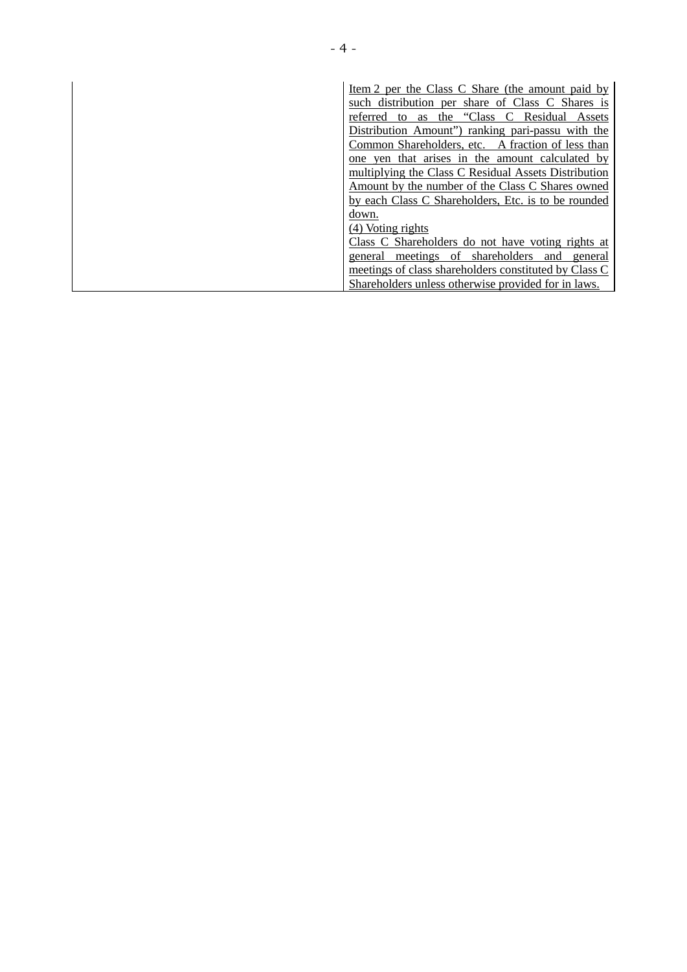| Item 2 per the Class C Share (the amount paid by      |
|-------------------------------------------------------|
| such distribution per share of Class C Shares is      |
| the "Class C Residual"<br>referred to as<br>Assets    |
| Distribution Amount") ranking pari-passu with the     |
| Common Shareholders, etc. A fraction of less than     |
| one yen that arises in the amount calculated by       |
| multiplying the Class C Residual Assets Distribution  |
| Amount by the number of the Class C Shares owned      |
| by each Class C Shareholders, Etc. is to be rounded   |
| down.                                                 |
| (4) Voting rights                                     |
| Class C Shareholders do not have voting rights at     |
| meetings of shareholders<br>general<br>and<br>general |
| meetings of class shareholders constituted by Class C |
| Shareholders unless otherwise provided for in laws.   |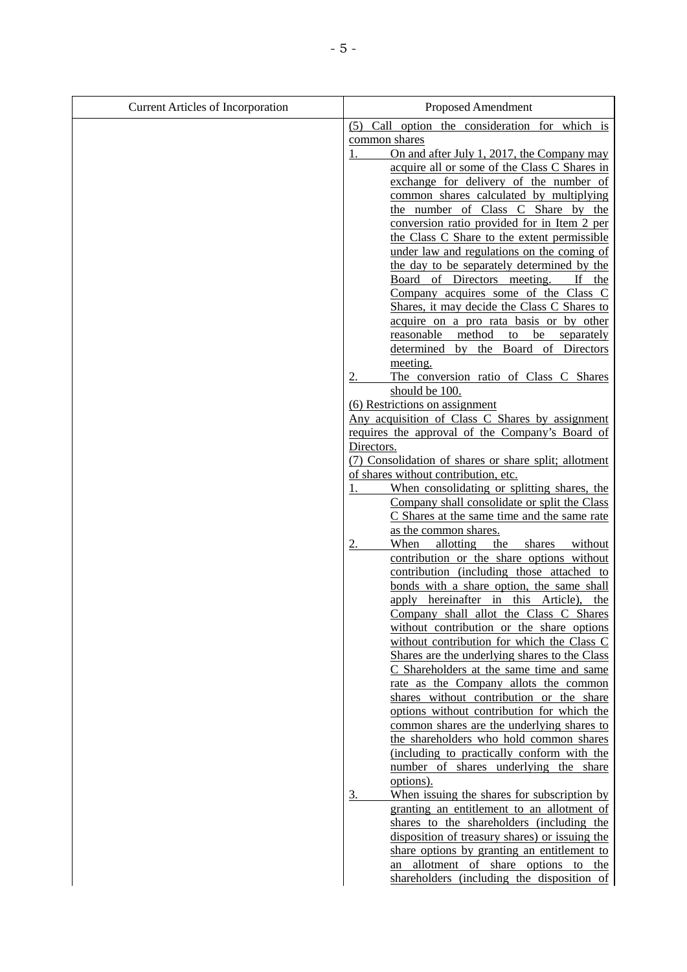| <b>Current Articles of Incorporation</b> | Proposed Amendment                                                                            |  |  |
|------------------------------------------|-----------------------------------------------------------------------------------------------|--|--|
|                                          | (5) Call option the consideration for which is                                                |  |  |
|                                          | common shares                                                                                 |  |  |
|                                          | On and after July 1, 2017, the Company may                                                    |  |  |
|                                          | acquire all or some of the Class C Shares in                                                  |  |  |
|                                          | exchange for delivery of the number of                                                        |  |  |
|                                          | common shares calculated by multiplying                                                       |  |  |
|                                          | the number of Class C Share by the                                                            |  |  |
|                                          | conversion ratio provided for in Item 2 per<br>the Class C Share to the extent permissible    |  |  |
|                                          | under law and regulations on the coming of                                                    |  |  |
|                                          | the day to be separately determined by the                                                    |  |  |
|                                          | Board of Directors meeting.<br>If the                                                         |  |  |
|                                          | Company acquires some of the Class C                                                          |  |  |
|                                          | Shares, it may decide the Class C Shares to                                                   |  |  |
|                                          | acquire on a pro rata basis or by other                                                       |  |  |
|                                          | method<br>reasonable<br>to<br>be<br>separately                                                |  |  |
|                                          | by the Board of Directors<br>determined                                                       |  |  |
|                                          | meeting.                                                                                      |  |  |
|                                          | The conversion ratio of Class C Shares                                                        |  |  |
|                                          | should be 100.                                                                                |  |  |
|                                          | (6) Restrictions on assignment<br>Any acquisition of Class C Shares by assignment             |  |  |
|                                          | requires the approval of the Company's Board of                                               |  |  |
|                                          | Directors.                                                                                    |  |  |
|                                          | (7) Consolidation of shares or share split; allotment                                         |  |  |
|                                          | of shares without contribution, etc.                                                          |  |  |
|                                          | When consolidating or splitting shares, the<br>1.                                             |  |  |
|                                          | Company shall consolidate or split the Class                                                  |  |  |
|                                          | C Shares at the same time and the same rate                                                   |  |  |
|                                          | as the common shares.                                                                         |  |  |
|                                          | When<br>allotting the shares without<br>contribution or the share options without             |  |  |
|                                          | contribution (including those attached to                                                     |  |  |
|                                          | bonds with a share option, the same shall                                                     |  |  |
|                                          | apply hereinafter in this Article), the                                                       |  |  |
|                                          | Company shall allot the Class C Shares                                                        |  |  |
|                                          | without contribution or the share options                                                     |  |  |
|                                          | without contribution for which the Class C                                                    |  |  |
|                                          | Shares are the underlying shares to the Class                                                 |  |  |
|                                          | C Shareholders at the same time and same                                                      |  |  |
|                                          | rate as the Company allots the common<br>shares without contribution or the share             |  |  |
|                                          | options without contribution for which the                                                    |  |  |
|                                          | common shares are the underlying shares to                                                    |  |  |
|                                          | the shareholders who hold common shares                                                       |  |  |
|                                          | (including to practically conform with the                                                    |  |  |
|                                          | number of shares underlying the share                                                         |  |  |
|                                          | options).                                                                                     |  |  |
|                                          | 3.<br>When issuing the shares for subscription by                                             |  |  |
|                                          | granting an entitlement to an allotment of                                                    |  |  |
|                                          | shares to the shareholders (including the                                                     |  |  |
|                                          | disposition of treasury shares) or issuing the<br>share options by granting an entitlement to |  |  |
|                                          | an allotment of share options to the                                                          |  |  |
|                                          | shareholders (including the disposition of                                                    |  |  |
|                                          |                                                                                               |  |  |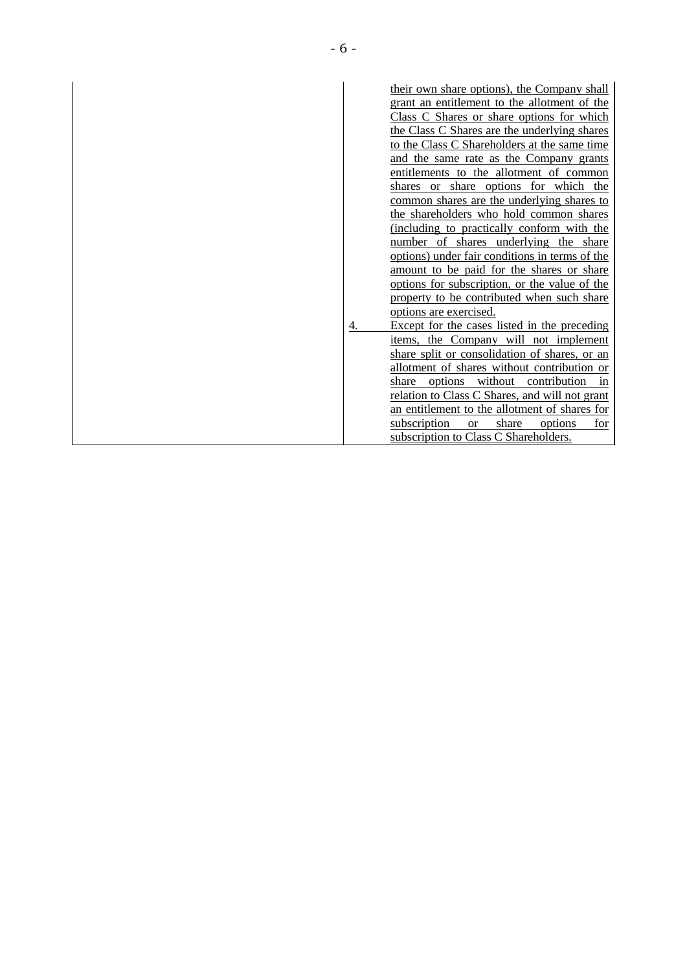|    | their own share options), the Company shall          |
|----|------------------------------------------------------|
|    | grant an entitlement to the allotment of the         |
|    | Class C Shares or share options for which            |
|    | the Class C Shares are the underlying shares         |
|    | to the Class C Shareholders at the same time         |
|    | and the same rate as the Company grants              |
|    | entitlements to the allotment of common              |
|    | shares or share options for which the                |
|    | common shares are the underlying shares to           |
|    | the shareholders who hold common shares              |
|    | (including to practically conform with the           |
|    | number of shares underlying the share                |
|    | options) under fair conditions in terms of the       |
|    | amount to be paid for the shares or share            |
|    | options for subscription, or the value of the        |
|    | property to be contributed when such share           |
|    | options are exercised.                               |
| 4. | Except for the cases listed in the preceding         |
|    | items, the Company will not implement                |
|    | share split or consolidation of shares, or an        |
|    | allotment of shares without contribution or          |
|    | without contribution<br>share options<br>in          |
|    | relation to Class C Shares, and will not grant       |
|    | an entitlement to the allotment of shares for        |
|    | subscription<br>share<br>options<br><b>or</b><br>for |
|    | subscription to Class C Shareholders.                |
|    |                                                      |